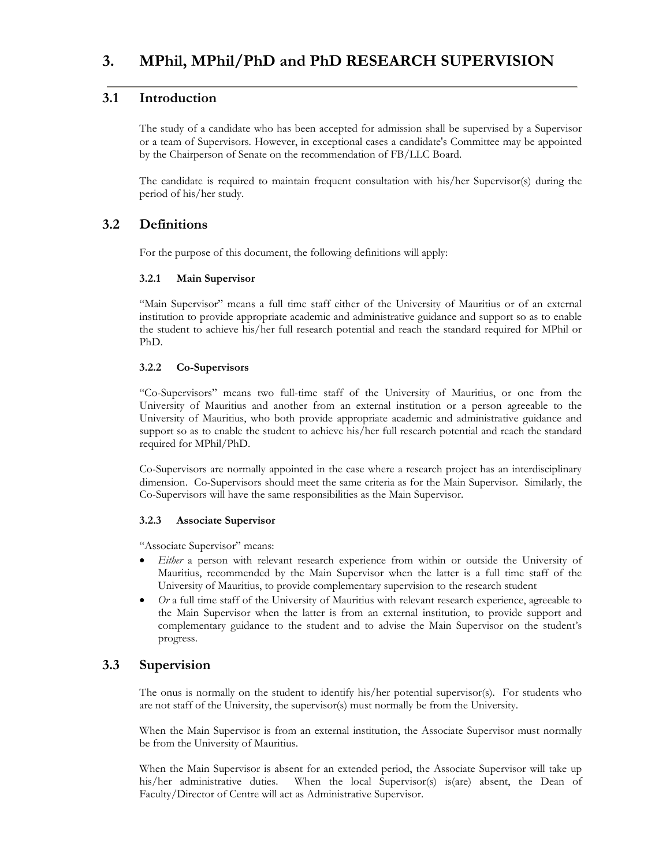# **3. MPhil, MPhil/PhD and PhD RESEARCH SUPERVISION**

# **3.1 Introduction**

The study of a candidate who has been accepted for admission shall be supervised by a Supervisor or a team of Supervisors. However, in exceptional cases a candidate's Committee may be appointed by the Chairperson of Senate on the recommendation of FB/LLC Board.

The candidate is required to maintain frequent consultation with his/her Supervisor(s) during the period of his/her study.

# **3.2 Definitions**

For the purpose of this document, the following definitions will apply:

### **3.2.1 Main Supervisor**

"Main Supervisor" means a full time staff either of the University of Mauritius or of an external institution to provide appropriate academic and administrative guidance and support so as to enable the student to achieve his/her full research potential and reach the standard required for MPhil or PhD.

### **3.2.2 Co-Supervisors**

"Co-Supervisors" means two full-time staff of the University of Mauritius, or one from the University of Mauritius and another from an external institution or a person agreeable to the University of Mauritius, who both provide appropriate academic and administrative guidance and support so as to enable the student to achieve his/her full research potential and reach the standard required for MPhil/PhD.

Co-Supervisors are normally appointed in the case where a research project has an interdisciplinary dimension. Co-Supervisors should meet the same criteria as for the Main Supervisor. Similarly, the Co-Supervisors will have the same responsibilities as the Main Supervisor.

#### **3.2.3 Associate Supervisor**

"Associate Supervisor" means:

- *Either* a person with relevant research experience from within or outside the University of Mauritius, recommended by the Main Supervisor when the latter is a full time staff of the University of Mauritius, to provide complementary supervision to the research student
- *Or* a full time staff of the University of Mauritius with relevant research experience, agreeable to the Main Supervisor when the latter is from an external institution, to provide support and complementary guidance to the student and to advise the Main Supervisor on the student's progress.

# **3.3 Supervision**

The onus is normally on the student to identify his/her potential supervisor(s). For students who are not staff of the University, the supervisor(s) must normally be from the University.

When the Main Supervisor is from an external institution, the Associate Supervisor must normally be from the University of Mauritius.

When the Main Supervisor is absent for an extended period, the Associate Supervisor will take up his/her administrative duties. When the local Supervisor(s) is(are) absent, the Dean of Faculty/Director of Centre will act as Administrative Supervisor.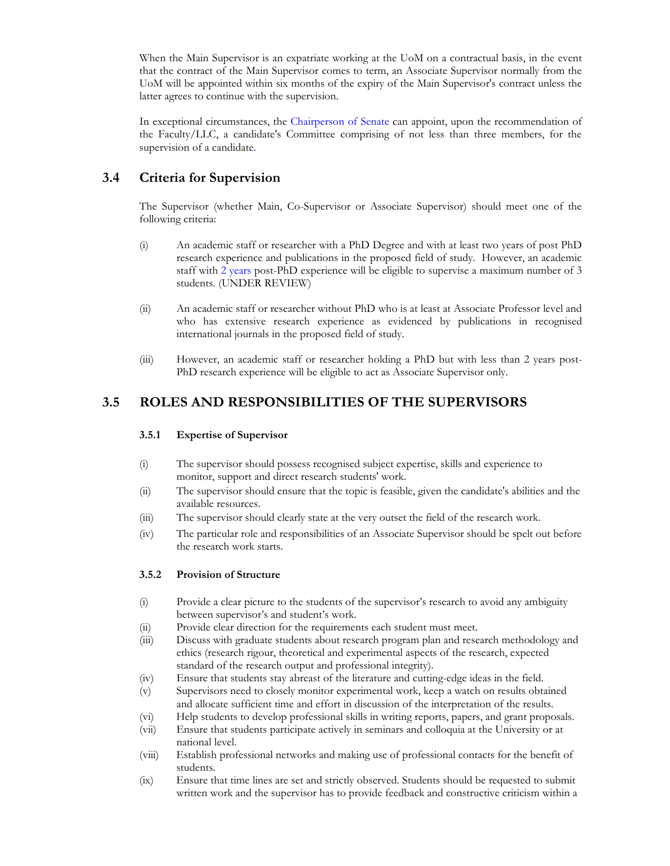When the Main Supervisor is an expatriate working at the UoM on a contractual basis, in the event that the contract of the Main Supervisor comes to term, an Associate Supervisor normally from the UoM will be appointed within six months of the expiry of the Main Supervisor's contract unless the latter agrees to continue with the supervision.

In exceptional circumstances, the Chairperson of Senate can appoint, upon the recommendation of the Faculty/LLC, a candidate's Committee comprising of not less than three members, for the supervision of a candidate.

# **3.4 Criteria for Supervision**

The Supervisor (whether Main, Co-Supervisor or Associate Supervisor) should meet one of the following criteria:

- (i) An academic staff or researcher with a PhD Degree and with at least two years of post PhD research experience and publications in the proposed field of study. However, an academic staff with 2 years post-PhD experience will be eligible to supervise a maximum number of 3 students. (UNDER REVIEW)
- (ii) An academic staff or researcher without PhD who is at least at Associate Professor level and who has extensive research experience as evidenced by publications in recognised international journals in the proposed field of study.
- (iii) However, an academic staff or researcher holding a PhD but with less than 2 years post-PhD research experience will be eligible to act as Associate Supervisor only.

# **3.5 ROLES AND RESPONSIBILITIES OF THE SUPERVISORS**

#### **3.5.1 Expertise of Supervisor**

- (i) The supervisor should possess recognised subject expertise, skills and experience to monitor, support and direct research students' work.
- (ii) The supervisor should ensure that the topic is feasible, given the candidate's abilities and the available resources.
- (iii) The supervisor should clearly state at the very outset the field of the research work.
- (iv) The particular role and responsibilities of an Associate Supervisor should be spelt out before the research work starts.

### **3.5.2 Provision of Structure**

- (i) Provide a clear picture to the students of the supervisor's research to avoid any ambiguity between supervisor's and student's work.
- (ii) Provide clear direction for the requirements each student must meet.
- (iii) Discuss with graduate students about research program plan and research methodology and ethics (research rigour, theoretical and experimental aspects of the research, expected standard of the research output and professional integrity).
- (iv) Ensure that students stay abreast of the literature and cutting-edge ideas in the field.
- (v) Supervisors need to closely monitor experimental work, keep a watch on results obtained and allocate sufficient time and effort in discussion of the interpretation of the results.
- (vi) Help students to develop professional skills in writing reports, papers, and grant proposals.
- (vii) Ensure that students participate actively in seminars and colloquia at the University or at national level.
- (viii) Establish professional networks and making use of professional contacts for the benefit of students.
- (ix) Ensure that time lines are set and strictly observed. Students should be requested to submit written work and the supervisor has to provide feedback and constructive criticism within a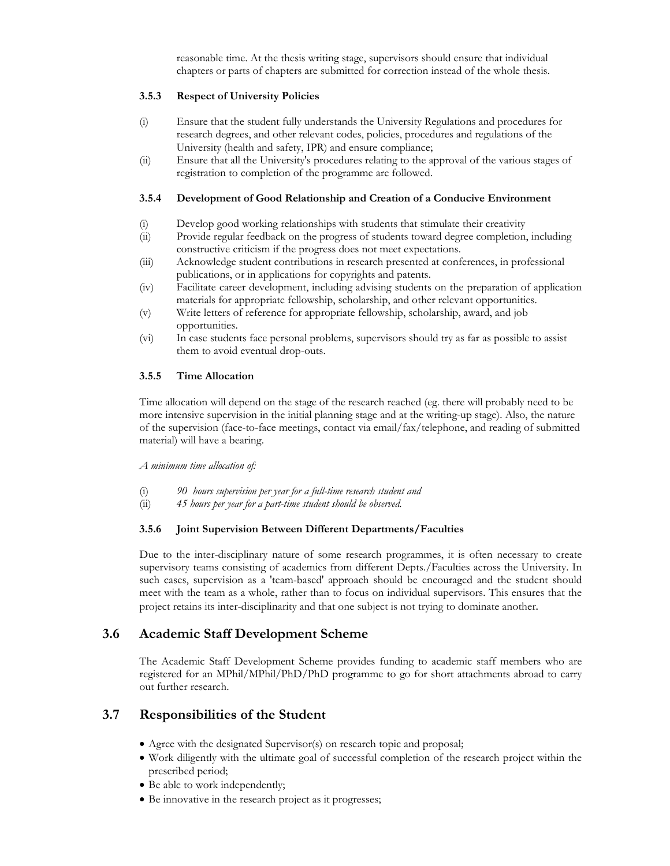reasonable time. At the thesis writing stage, supervisors should ensure that individual chapters or parts of chapters are submitted for correction instead of the whole thesis.

### **3.5.3 Respect of University Policies**

- (i) Ensure that the student fully understands the University Regulations and procedures for research degrees, and other relevant codes, policies, procedures and regulations of the University (health and safety, IPR) and ensure compliance;
- (ii) Ensure that all the University's procedures relating to the approval of the various stages of registration to completion of the programme are followed.

#### **3.5.4 Development of Good Relationship and Creation of a Conducive Environment**

- (i) Develop good working relationships with students that stimulate their creativity
- (ii) Provide regular feedback on the progress of students toward degree completion, including constructive criticism if the progress does not meet expectations.
- (iii) Acknowledge student contributions in research presented at conferences, in professional publications, or in applications for copyrights and patents.
- (iv) Facilitate career development, including advising students on the preparation of application materials for appropriate fellowship, scholarship, and other relevant opportunities.
- (v) Write letters of reference for appropriate fellowship, scholarship, award, and job opportunities.
- (vi) In case students face personal problems, supervisors should try as far as possible to assist them to avoid eventual drop-outs.

#### **3.5.5 Time Allocation**

Time allocation will depend on the stage of the research reached (eg. there will probably need to be more intensive supervision in the initial planning stage and at the writing-up stage). Also, the nature of the supervision (face-to-face meetings, contact via email/fax/telephone, and reading of submitted material) will have a bearing.

*A minimum time allocation of:* 

- (i) *90 hours supervision per year for a full-time research student and*
- (ii) *45 hours per year for a part-time student should be observed.*

### **3.5.6 Joint Supervision Between Different Departments/Faculties**

Due to the inter-disciplinary nature of some research programmes, it is often necessary to create supervisory teams consisting of academics from different Depts./Faculties across the University. In such cases, supervision as a 'team-based' approach should be encouraged and the student should meet with the team as a whole, rather than to focus on individual supervisors. This ensures that the project retains its inter-disciplinarity and that one subject is not trying to dominate another.

### **3.6 Academic Staff Development Scheme**

The Academic Staff Development Scheme provides funding to academic staff members who are registered for an MPhil/MPhil/PhD/PhD programme to go for short attachments abroad to carry out further research.

## **3.7 Responsibilities of the Student**

- Agree with the designated Supervisor(s) on research topic and proposal;
- Work diligently with the ultimate goal of successful completion of the research project within the prescribed period;
- Be able to work independently;
- Be innovative in the research project as it progresses;